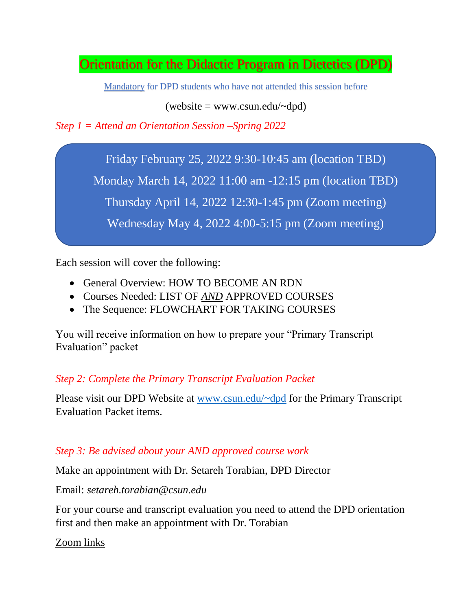Orientation for the Didactic Program in Dietetics (DPD)

Mandatory for DPD students who have not attended this session before

 $(website = www.csun.edu/~dpd)$ 

*Step 1 = Attend an Orientation Session –Spring 2022*

Friday February 25, 2022 9:30-10:45 am (location TBD)

Monday March 14, 2022 11:00 am -12:15 pm (location TBD)

Thursday April 14, 2022 12:30-1:45 pm (Zoom meeting)

Wednesday May 4, 2022 4:00-5:15 pm (Zoom meeting)

Each session will cover the following:

- General Overview: HOW TO BECOME AN RDN
- Courses Needed: LIST OF *AND* APPROVED COURSES
- The Sequence: FLOWCHART FOR TAKING COURSES

You will receive information on how to prepare your "Primary Transcript Evaluation" packet

## *Step 2: Complete the Primary Transcript Evaluation Packet*

Please visit our DPD Website at [www.csun.edu/~dpd](http://www.csun.edu/~dpd) for the Primary Transcript Evaluation Packet items.

## *Step 3: Be advised about your AND approved course work*

Make an appointment with Dr. Setareh Torabian, DPD Director

Email: *setareh.torabian@csun.edu*

For your course and transcript evaluation you need to attend the DPD orientation first and then make an appointment with Dr. Torabian

Zoom links